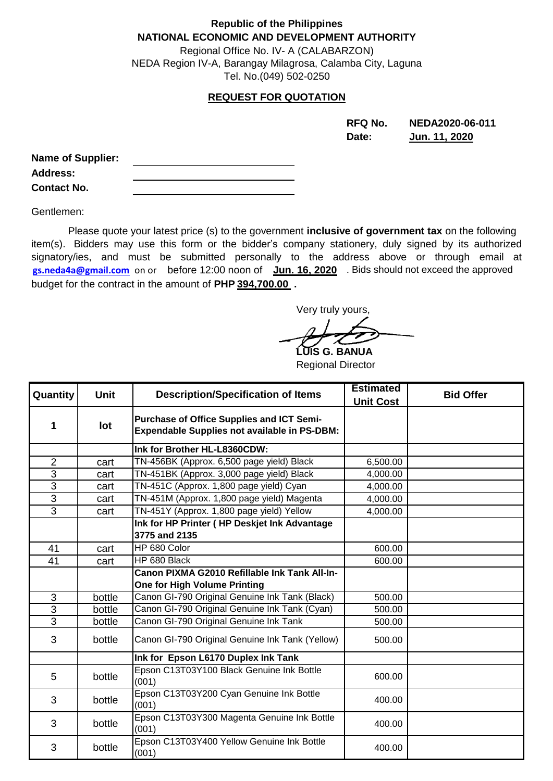## **Republic of the Philippines NATIONAL ECONOMIC AND DEVELOPMENT AUTHORITY**

Regional Office No. IV- A (CALABARZON) NEDA Region IV-A, Barangay Milagrosa, Calamba City, Laguna Tel. No.(049) 502-0250

## **REQUEST FOR QUOTATION**

**RFQ No. NEDA2020-06-011 Date: Jun. 11, 2020**

| <b>Name of Supplier:</b> |  |
|--------------------------|--|
| <b>Address:</b>          |  |
| <b>Contact No.</b>       |  |

Gentlemen:

<mark>[gs.neda4a@](mailto:gs.neda4a@gmail.com)gmail.com</mark>\_on or before 12:00 noon of run. 16, 2020 A. Bids should not exceed the approved budget for the contract in the amount of **PHP 394,700.00 .** Please quote your latest price (s) to the government **inclusive of government tax** on the following item(s). Bidders may use this form or the bidder's company stationery, duly signed by its authorized signatory/ies, and must be submitted personally to the address above or through email at

Very truly yours,

**LUIS G. BANUA** Regional Director

| Quantity       | <b>Unit</b> | <b>Description/Specification of Items</b>                                                        | <b>Estimated</b><br><b>Unit Cost</b> | <b>Bid Offer</b> |
|----------------|-------------|--------------------------------------------------------------------------------------------------|--------------------------------------|------------------|
| 1              | lot         | Purchase of Office Supplies and ICT Semi-<br><b>Expendable Supplies not available in PS-DBM:</b> |                                      |                  |
|                |             | Ink for Brother HL-L8360CDW:                                                                     |                                      |                  |
| $\overline{2}$ | cart        | TN-456BK (Approx. 6,500 page yield) Black                                                        | 6,500.00                             |                  |
| 3              | cart        | TN-451BK (Approx. 3,000 page yield) Black                                                        | 4,000.00                             |                  |
| $\overline{3}$ | cart        | TN-451C (Approx. 1,800 page yield) Cyan                                                          | 4,000.00                             |                  |
| 3              | cart        | TN-451M (Approx. 1,800 page yield) Magenta                                                       | 4,000.00                             |                  |
| $\overline{3}$ | cart        | TN-451Y (Approx. 1,800 page yield) Yellow                                                        | 4,000.00                             |                  |
|                |             | Ink for HP Printer (HP Deskjet Ink Advantage<br>3775 and 2135                                    |                                      |                  |
| 41             | cart        | HP 680 Color                                                                                     | 600.00                               |                  |
| 41             | cart        | HP 680 Black                                                                                     | 600.00                               |                  |
|                |             | Canon PIXMA G2010 Refillable Ink Tank All-In-<br>One for High Volume Printing                    |                                      |                  |
| 3              | bottle      | Canon GI-790 Original Genuine Ink Tank (Black)                                                   | 500.00                               |                  |
| 3              | bottle      | Canon GI-790 Original Genuine Ink Tank (Cyan)                                                    | 500.00                               |                  |
| $\overline{3}$ | bottle      | Canon GI-790 Original Genuine Ink Tank                                                           | 500.00                               |                  |
| 3              | bottle      | Canon GI-790 Original Genuine Ink Tank (Yellow)                                                  | 500.00                               |                  |
|                |             | Ink for Epson L6170 Duplex Ink Tank                                                              |                                      |                  |
| 5              | bottle      | Epson C13T03Y100 Black Genuine Ink Bottle<br>(001)                                               | 600.00                               |                  |
| 3              | bottle      | Epson C13T03Y200 Cyan Genuine Ink Bottle<br>(001)                                                | 400.00                               |                  |
| 3              | bottle      | Epson C13T03Y300 Magenta Genuine Ink Bottle<br>(001)                                             | 400.00                               |                  |
| 3              | bottle      | Epson C13T03Y400 Yellow Genuine Ink Bottle<br>(001)                                              | 400.00                               |                  |